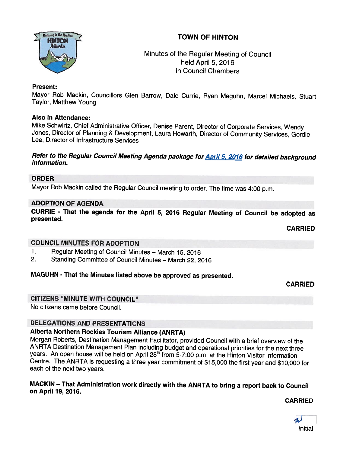# TOWN OF HINTON



Minutes of the Regular Meeting of Council held April 5, 2016 in Council Chambers

#### Present:

Mayor Rob Mackin, Councillors Glen Barrow, Dale Currie, Ryan Maguhn, Marcel Michaels, Stuart<br>Taylor, Matthew Young

#### Also in Attendance:

Mike Schwirtz, Chief Administrative Officer, Denise Parent, Director of Corporate Services, Wendy<br>Jones, Director of Planning & Development, Laura Howarth, Director of Community Services, Gordie<br>Lee, Director of Infrastruc

# Refer to the Regular Council Meeting Agenda package for **April 5, 2016</u> for detailed background**<br>information.

#### ORDER

Mayor Rob Mackin called the Regular Council meeting to order. The time was 4:00 p.m.

#### ADOPTION OF AGENDA

CURRIE - That the agenda for the April 5, <sup>2016</sup> Regular Meeting of Council be adopted as presented.

CARRIED

#### COUNCIL MINUTES FOR ADOPTION

- 1. Regular Meeting of Council Minutes March 15, 2016
- 2. Standing Committee of Council Minutes March 22, <sup>2016</sup>

#### MAGUHN - That the Minutes listed above be approved as presented.

CARRIED

#### CITIZENS "MINUTE WITH COUNCIL"

No citizens came before Council.

### DELEGATIONS AND PRESENTATIONS

#### Alberta Northern Rockies Tourism Alliance (ANRTA)

Morgan Roberts, Destination Management Facilitator, provided Council with <sup>a</sup> brief overview of the ANRTA Destination Management Plan including budget and operational priorities for the next three years. An open house will be held on April 28<sup>th</sup> from 5-7:00 p.m. at the Hinton Visitor Information Centre. The ANRTA is requesting <sup>a</sup> three year commitment of \$15,000 the first year and \$10,000 for each of the next two years.

#### MACKIN — That Administration work directly with the ANRTA to bring <sup>a</sup> report back to Council on April 79, 2076.

CARRIED

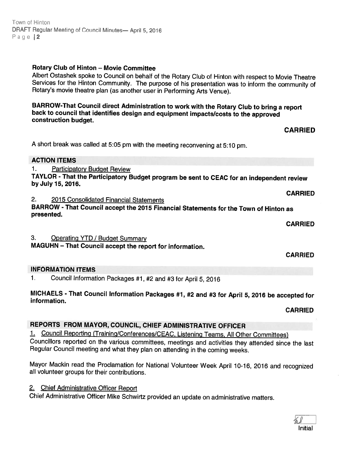#### Town of Hinton DRAFT Regular Meeting of Council Minutes— April 5, <sup>2016</sup> Page 2

# Rotary Club of Hinton — Movie Committee

Albert Ostashek spoke to Council on behalf of the Rotary Club of Hinton with respect to Movie Theatre Services for the Hinton Community. The purpose of his presentation was to inform the community of Rotary's movie theatre

# BARROW-That Council direct Administration to work with the Rotary Club to bring <sup>a</sup> report back to council that identifies design and equipment impacts/costs to the approved construction budget.

<sup>A</sup> short break was called at 5:05 pm with the meeting reconvening at 5:10 pm.

### ACTION ITEMS

1. Participatory Budget Review

TAYLOR -That the Participatory Budget program be sent to CEAC for an independent review by July 15, 2076.

2. 2015 Consolidated Financial Statements

BARROW - That Council accept the 2015 Financial Statements for the Town of Hinton as presented.

3. Operating YTD / Budget Summary

MAGUHN — That Council accept the report for information.

# INFORMATION ITEMS

1. Council Information Packages #1, #2 and #3 for April 5, <sup>2016</sup>

MICHAELS - That Council Information Packages #1, #2 and #3 for April 5, 2016 be accepted for<br>information.

CARRIED

# REPORTS FROM MAYOR, COUNCIL, CHIEF ADMINISTRATIVE OFFICER

1. Council Reporting (Training/Conferences/CEAC, Listening Teams, All Other Committees)

Councillors reported on the various committees, meetings and activities they attended since the last Regular Council meeting and what they <sup>p</sup>lan on attending in the coming weeks.

Mayor Mackin read the Proclamation for National Volunteer Week April 10-16, <sup>2016</sup> and recognized all volunteer groups for their contributions.

# 2. Chief Administrative Officer Report

Chief Administrative Officer Mike Schwirtz provided an update on administrative matters.

CARRIED

CARRIED

CARRIED

**CARRIED**